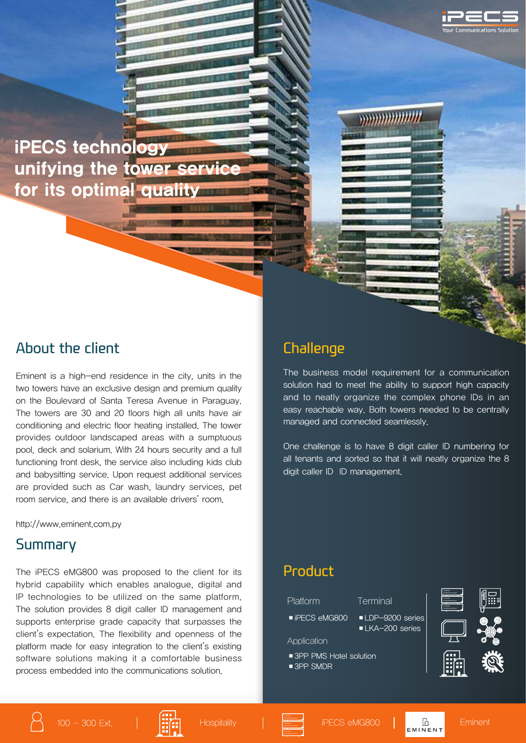

iPECS technology unifying the tower serv for its optimal quality

#### About the client

Eminent is a high-end residence in the city, units in the two towers have an exclusive design and premium quality on the Boulevard of Santa Teresa Avenue in Paraguay. The towers are 30 and 20 floors high all units have air conditioning and electric floor heating installed. The tower provides outdoor landscaped areas with a sumptuous pool, deck and solarium. With 24 hours security and a full functioning front desk, the service also including kids club and babysitting service. Upon request additional services are provided such as Car wash, laundry services, pet room service, and there is an available drivers' room.

http://www.eminent.com.py

#### Summary

The iPECS eMG800 was proposed to the client for its hybrid capability which enables analogue, digital and IP technologies to be utilized on the same platform. The solution provides 8 digit caller ID management and supports enterprise grade capacity that surpasses the client's expectation. The flexibility and openness of the platform made for easy integration to the client's existing software solutions making it a comfortable business process embedded into the communications solution.

### **Challenge**

The business model requirement for a communication solution had to meet the ability to support high capacity and to neatly organize the complex phone IDs in an easy reachable way. Both towers needed to be centrally managed and connected seamlessly.

**Management** 

One challenge is to have 8 digit caller ID numbering for all tenants and sorted so that it will neatly organize the 8 digit caller ID ID management.

### Product

| Platform                                            | Terminal                                         |
|-----------------------------------------------------|--------------------------------------------------|
| $\blacksquare$ iPECS eMG800                         | LDP-9200 series<br>$\blacksquare$ LKA-200 series |
| Application                                         |                                                  |
| ■ 3PP PMS Hotel solution<br>$\blacksquare$ 3PP SMDR |                                                  |